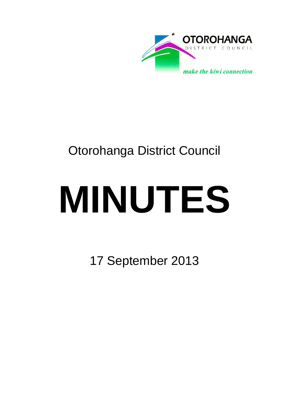

## Otorohanga District Council

# **MINUTES**

17 September 2013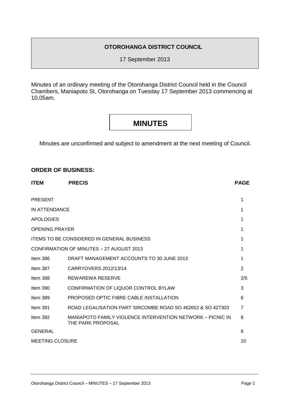#### **OTOROHANGA DISTRICT COUNCIL**

17 September 2013

Minutes of an ordinary meeting of the Otorohanga District Council held in the Council Chambers, Maniapoto St, Otorohanga on Tuesday 17 September 2013 commencing at 10.05am.

### **MINUTES**

Minutes are unconfirmed and subject to amendment at the next meeting of Council.

#### **ORDER OF BUSINESS:**

| <b>ITEM</b>            | <b>PRECIS</b>                                                                   | <b>PAGE</b>    |
|------------------------|---------------------------------------------------------------------------------|----------------|
| <b>PRESENT</b>         |                                                                                 | 1              |
| IN ATTENDANCE          |                                                                                 | 1              |
| <b>APOLOGIES</b>       |                                                                                 | 1              |
| <b>OPENING PRAYER</b>  |                                                                                 | 1              |
|                        | <b>ITEMS TO BE CONSIDERED IN GENERAL BUSINESS</b>                               | 1              |
|                        | <b>CONFIRMATION OF MINUTES - 27 AUGUST 2013</b>                                 | 1              |
| Item $386$             | DRAFT MANAGEMENT ACCOUNTS TO 30 JUNE 2013                                       | 1              |
| Item 387               | CARRYOVERS 2012/13/14                                                           | $\overline{2}$ |
| Item 388               | REWAREWA RESERVE                                                                | 2/5            |
| Item $390$             | CONFIRMATION OF LIQUOR CONTROL BYLAW                                            | 3              |
| Item $389$             | PROPOSED OPTIC FIBRE CABLE INSTALLATION                                         | 6              |
| Item $391$             | ROAD LEGALISATION PART SIRCOMBE ROAD SO 462652 & SO 427303                      | $\overline{7}$ |
| Item $392$             | MANIAPOTO FAMILY VIOLENCE INTERVENTION NETWORK - PICNIC IN<br>THE PARK PROPOSAL | 8              |
| <b>GENERAL</b>         |                                                                                 | 8              |
| <b>MEETING CLOSURE</b> |                                                                                 | 10             |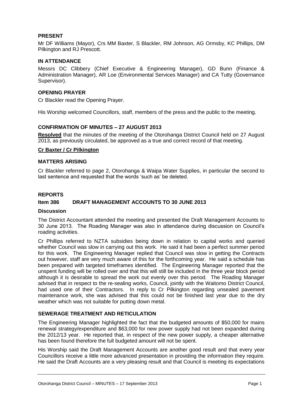#### **PRESENT**

Mr DF Williams (Mayor), Crs MM Baxter, S Blackler, RM Johnson, AG Ormsby, KC Phillips, DM Pilkington and RJ Prescott.

#### **IN ATTENDANCE**

Messrs DC Clibbery (Chief Executive & Engineering Manager), GD Bunn (Finance & Administration Manager), AR Loe (Environmental Services Manager) and CA Tutty (Governance Supervisor).

#### **OPENING PRAYER**

Cr Blackler read the Opening Prayer.

His Worship welcomed Councillors, staff, members of the press and the public to the meeting.

#### **CONFIRMATION OF MINUTES – 27 AUGUST 2013**

**Resolved** that the minutes of the meeting of the Otorohanga District Council held on 27 August 2013, as previously circulated, be approved as a true and correct record of that meeting.

#### **Cr Baxter / Cr Pilkington**

#### **MATTERS ARISING**

Cr Blackler referred to page 2, Otorohanga & Waipa Water Supplies, in particular the second to last sentence and requested that the words 'such as' be deleted.

#### **REPORTS**

#### **Item 386 DRAFT MANAGEMENT ACCOUNTS TO 30 JUNE 2013**

#### **Discussion**

The District Accountant attended the meeting and presented the Draft Management Accounts to 30 June 2013. The Roading Manager was also in attendance during discussion on Council's roading activities.

Cr Phillips referred to NZTA subsidies being down in relation to capital works and queried whether Council was slow in carrying out this work. He said it had been a perfect summer period for this work. The Engineering Manager replied that Council was slow in getting the Contracts out however, staff are very much aware of this for the forthcoming year. He said a schedule has been prepared with targeted timeframes identified. The Engineering Manager reported that the unspent funding will be rolled over and that this will still be included in the three year block period although it is desirable to spread the work out evenly over this period. The Roading Manager advised that in respect to the re-sealing works, Council, jointly with the Waitomo District Council, had used one of their Contractors. In reply to Cr Pilkington regarding unsealed pavement maintenance work, she was advised that this could not be finished last year due to the dry weather which was not suitable for putting down metal.

#### **SEWERAGE TREATMENT AND RETICULATION**

The Engineering Manager highlighted the fact that the budgeted amounts of \$50,000 for mains renewal strategy/expenditure and \$63,000 for new power supply had not been expanded during the 2012/13 year. He reported that, in respect of the new power supply, a cheaper alternative has been found therefore the full budgeted amount will not be spent.

His Worship said the Draft Management Accounts are another good result and that every year Councillors receive a little more advanced presentation in providing the information they require. He said the Draft Accounts are a very pleasing result and that Council is meeting its expectations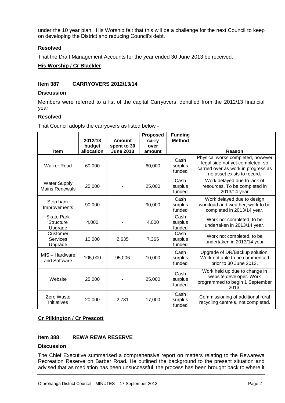under the 10 year plan. His Worship felt that this will be a challenge for the next Council to keep on developing the District and reducing Council's debt.

#### **Resolved**

That the Draft Management Accounts for the year ended 30 June 2013 be received.

#### **His Worship / Cr Blackler**

#### **Item 387 CARRYOVERS 2012/13/14**

#### **Discussion**

Members were referred to a list of the capital Carryovers identified from the 2012/13 financial year.

#### **Resolved**

That Council adopts the carryovers as listed below -

|                                                  | 2012/13              | Amount                          | <b>Proposed</b><br>carry | <b>Funding</b><br><b>Method</b> |                                                                                                                                            |
|--------------------------------------------------|----------------------|---------------------------------|--------------------------|---------------------------------|--------------------------------------------------------------------------------------------------------------------------------------------|
| <b>Item</b>                                      | budget<br>allocation | spent to 30<br><b>June 2013</b> | over<br>amount           |                                 | Reason                                                                                                                                     |
| Walker Road                                      | 60,000               |                                 | 60,000                   | Cash<br>surplus<br>funded       | Physical works completed, however<br>legal side not yet completed, so<br>carried over as work in progress as<br>no asset exists to record. |
| <b>Water Supply</b><br><b>Mains Renewals</b>     | 25,000               |                                 | 25,000                   | Cash<br>surplus<br>funded       | Work delayed due to lack of<br>resources. To be completed in<br>2013/14 year                                                               |
| Stop bank<br>Improvements                        | 90,000               |                                 | 90,000                   | Cash<br>surplus<br>funded       | Work delayed due to design<br>workload and weather, work to be<br>completed in 2013/14 year.                                               |
| <b>Skate Park</b><br><b>Structure</b><br>Upgrade | 4,000                |                                 | 4,000                    | Cash<br>surplus<br>funded       | Work not completed, to be<br>undertaken in 2013/14 year.                                                                                   |
| Customer<br><b>Services</b><br>Upgrade           | 10,000               | 2,635                           | 7,365                    | Cash<br>surplus<br>funded       | Work not completed, to be<br>undertaken in 2013/14 year                                                                                    |
| MIS - Hardware<br>and Software                   | 105,000              | 95,006                          | 10,000                   | Cash<br>surplus<br>funded       | Upgrade of DR/Backup solution.<br>Work not able to be commenced<br>prior to 30 June 2013.                                                  |
| Website                                          | 25,000               |                                 | 25,000                   | Cash<br>surplus<br>funded       | Work held up due to change in<br>website developer. Work<br>programmed to begin 1 September<br>2013.                                       |
| Zero Waste<br>Initiatives                        | 20,000               | 2,731                           | 17,000                   | Cash<br>surplus<br>funded       | Commissioning of additional rural<br>recycling centre's, not completed.                                                                    |

#### **Cr Pilkington / Cr Prescott**

#### **Item 388 REWA REWA RESERVE**

#### **Discussion**

The Chief Executive summarised a comprehensive report on matters relating to the Rewarewa Recreation Reserve on Barber Road. He outlined the background to the present situation and advised that as mediation has been unsuccessful, the process has been brought back to where it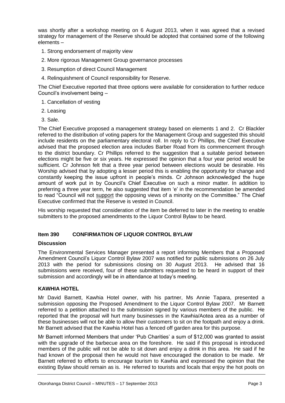was shortly after a workshop meeting on 6 August 2013, when it was agreed that a revised strategy for management of the Reserve should be adopted that contained some of the following elements –

- 1. Strong endorsement of majority view
- 2. More rigorous Management Group governance processes
- 3. Resumption of direct Council Management
- 4. Relinquishment of Council responsibility for Reserve.

The Chief Executive reported that three options were available for consideration to further reduce Council's involvement being –

- 1. Cancellation of vesting
- 2. Leasing
- 3. Sale.

The Chief Executive proposed a management strategy based on elements 1 and 2. Cr Blackler referred to the distribution of voting papers for the Management Group and suggested this should include residents on the parliamentary electoral roll. In reply to Cr Phillips, the Chief Executive advised that the proposed election area includes Barber Road from its commencement through to the district boundary. Cr Phillips referred to the suggestion that a suitable period between elections might be five or six years. He expressed the opinion that a four year period would be sufficient. Cr Johnson felt that a three year period between elections would be desirable. His Worship advised that by adopting a lesser period this is enabling the opportunity for change and constantly keeping the issue upfront in people's minds. Cr Johnson acknowledged the huge amount of work put in by Council's Chief Executive on such a minor matter. In addition to preferring a three year term, he also suggested that item 'e' in the recommendation be amended to read "Council will not support the opposing views of a minority on the Committee." The Chief Executive confirmed that the Reserve is vested in Council.

His worship requested that consideration of the item be deferred to later in the meeting to enable submitters to the proposed amendments to the Liquor Control Bylaw to be heard.

#### **Item 390 CONFIRMATION OF LIQUOR CONTROL BYLAW**

#### **Discussion**

The Environmental Services Manager presented a report informing Members that a Proposed Amendment Council's Liquor Control Bylaw 2007 was notified for public submissions on 26 July 2013 with the period for submissions closing on 30 August 2013. He advised that 16 submissions were received, four of these submitters requested to be heard in support of their submission and accordingly will be in attendance at today's meeting.

#### **KAWHIA HOTEL**

Mr David Barnett, Kawhia Hotel owner, with his partner, Ms Annie Tapara, presented a submission opposing the Proposed Amendment to the Liquor Control Bylaw 2007. Mr Barnett referred to a petition attached to the submission signed by various members of the public. He reported that the proposal will hurt many businesses in the Kawhia/Aotea area as a number of these businesses will not be able to allow their customers to sit on the footpath and enjoy a drink. Mr Barnett advised that the Kawhia Hotel has a fenced off garden area for this purpose.

Mr Barnett informed Members that under 'Pub Charities' a sum of \$12,000 was granted to assist with the upgrade of the barbecue area on the foreshore. He said if this proposal is introduced members of the public will not be able to sit down and enjoy a drink in this area. He said if he had known of the proposal then he would not have encouraged the donation to be made. Mr Barnett referred to efforts to encourage tourism to Kawhia and expressed the opinion that the existing Bylaw should remain as is. He referred to tourists and locals that enjoy the hot pools on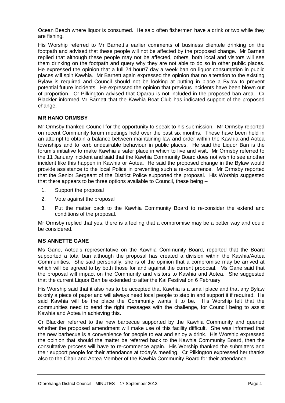Ocean Beach where liquor is consumed. He said often fishermen have a drink or two while they are fishing.

His Worship referred to Mr Barnett's earlier comments of business clientele drinking on the footpath and advised that these people will not be affected by the proposed change. Mr Barnett replied that although these people may not be affected, others, both local and visitors will see them drinking on the footpath and query why they are not able to do so in other public places. He expressed the opinion that a full 24 hour/7 day a week ban on liquor consumption in public places will split Kawhia. Mr Barnett again expressed the opinion that no alteration to the existing Bylaw is required and Council should not be looking at putting in place a Bylaw to prevent potential future incidents. He expressed the opinion that previous incidents have been blown out of proportion. Cr Pilkington advised that Oparau is not included in the proposed ban area. Cr Blackler informed Mr Barnett that the Kawhia Boat Club has indicated support of the proposed change.

#### **MR HANO ORMSBY**

Mr Ormsby thanked Council for the opportunity to speak to his submission. Mr Ormsby reported on recent Community forum meetings held over the past six months. These have been held in an attempt to obtain a balance between maintaining law and order within the Kawhia and Aotea townships and to kerb undesirable behaviour in public places. He said the Liquor Ban is the forum's initiative to make Kawhia a safer place in which to live and visit. Mr Ormsby referred to the 11 January incident and said that the Kawhia Community Board does not wish to see another incident like this happen in Kawhia or Aotea. He said the proposed change in the Bylaw would provide assistance to the local Police in preventing such a re-occurrence. Mr Ormsby reported that the Senior Sergeant of the District Police supported the proposal. His Worship suggested that there appears to be three options available to Council, these being –

- 1. Support the proposal
- 2. Vote against the proposal
- 3. Put the matter back to the Kawhia Community Board to re-consider the extend and conditions of the proposal.

Mr Ormsby replied that yes, there is a feeling that a compromise may be a better way and could be considered.

#### **MS ANNETTE GANE**

Ms Gane, Aotea's representative on the Kawhia Community Board, reported that the Board supported a total ban although the proposal has created a division within the Kawhia/Aotea Communities. She said personally, she is of the opinion that a compromise may be arrived at which will be agreed to by both those for and against the current proposal. Ms Gane said that the proposal will impact on the Community and visitors to Kawhia and Aotea. She suggested that the current Liquor Ban be extended to after the Kai Festival on 6 February.

His Worship said that it also has to be accepted that Kawhia is a small place and that any Bylaw is only a piece of paper and will always need local people to step in and support it if required. He said Kawhia will be the place the Community wants it to be. His Worship felt that the communities need to send the right messages with the challenge, for Council being to assist Kawhia and Aotea in achieving this.

Cr Blackler referred to the new barbecue supported by the Kawhia Community and queried whether the proposed amendment will make use of this facility difficult. She was informed that the new barbecue is a convenience for people to eat and enjoy a drink. His Worship expressed the opinion that should the matter be referred back to the Kawhia Community Board, then the consultative process will have to re-commence again. His Worship thanked the submitters and their support people for their attendance at today's meeting. Cr Pilkington expressed her thanks also to the Chair and Aotea Member of the Kawhia Community Board for their attendance.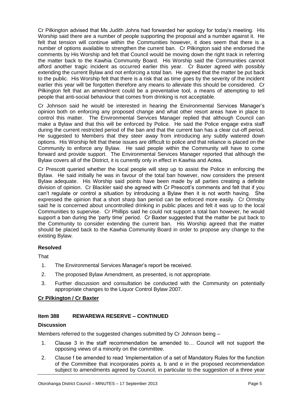Cr Pilkington advised that Ms Judith Johns had forwarded her apology for today's meeting. His Worship said there are a number of people supporting the proposal and a number against it. He felt that tension will continue within the Communities however, it does seem that there is a number of options available to strengthen the current ban. Cr Pilkington said she endorsed the comments by His Worship and felt that Council would be moving down the right track in referring the matter back to the Kawhia Community Board. His Worship said the Communities cannot afford another tragic incident as occurred earlier this year. Cr Baxter agreed with possibly extending the current Bylaw and not enforcing a total ban. He agreed that the matter be put back to the public. His Worship felt that there is a risk that as time goes by the severity of the incident earlier this year will be forgotten therefore any means to alleviate this should be considered. Cr Pilkington felt that an amendment could be a preventative tool, a means of attempting to tell people that anti-social behaviour that comes from drinking is not acceptable.

Cr Johnson said he would be interested in hearing the Environmental Services Manager's opinion both on enforcing any proposed change and what other resort areas have in place to control this matter. The Environmental Services Manager replied that although Council can make a Bylaw and that this will be enforced by Police. He said the Police engage extra staff during the current restricted period of the ban and that the current ban has a clear cut-off period. He suggested to Members that they steer away from introducing any subtly watered down options. His Worship felt that these issues are difficult to police and that reliance is placed on the Community to enforce any Bylaw. He said people within the Community will have to come forward and provide support. The Environmental Services Manager reported that although the Bylaw covers all of the District, it is currently only in effect in Kawhia and Aotea.

Cr Prescott queried whether the local people will step up to assist the Police in enforcing the Bylaw. He said initially he was in favour of the total ban however, now considers the present Bylaw adequate. His Worship said points have been made by all parties creating a definite division of opinion. Cr Blackler said she agreed with Cr Prescott's comments and felt that if you can't regulate or control a situation by introducing a Bylaw then it is not worth having. She expressed the opinion that a short sharp ban period can be enforced more easily. Cr Ormsby said he is concerned about uncontrolled drinking in public places and felt it was up to the local Communities to supervise. Cr Phillips said he could not support a total ban however, he would support a ban during the 'party time' period. Cr Baxter suggested that the matter be put back to the Community to consider extending the current ban. His Worship agreed that the matter should be placed back to the Kawhia Community Board in order to propose any change to the existing Bylaw.

#### **Resolved**

**That** 

- 1. The Environmental Services Manager's report be received.
- 2. The proposed Bylaw Amendment, as presented, is not appropriate.
- 3. Further discussion and consultation be conducted with the Community on potentially appropriate changes to the Liquor Control Bylaw 2007.

#### **Cr Pilkington / Cr Baxter**

#### **Item 388 REWAREWA RESERVE – CONTINUED**

#### **Discussion**

Members referred to the suggested changes submitted by Cr Johnson being –

- 1. Clause 3 in the staff recommendation be amended to… Council will not support the opposing views of a minority on the committee.
- 2. Clause f be amended to read 'Implementation of a set of Mandatory Rules for the function of the Committee that incorporates points a, b and e in the proposed recommendation subject to amendments agreed by Council, in particular to the suggestion of a three year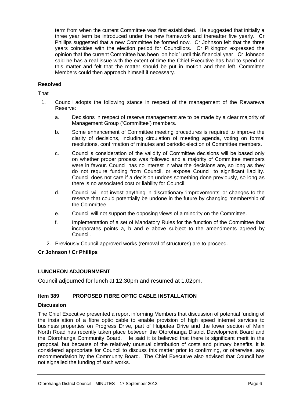term from when the current Committee was first established. He suggested that initially a three year term be introduced under the new framework and thereafter five yearly. Cr Phillips suggested that a new Committee be formed now. Cr Johnson felt that the three years coincides with the election period for Councillors. Cr Pilkington expressed the opinion that the current Committee has been 'on hold' until this financial year. Cr Johnson said he has a real issue with the extent of time the Chief Executive has had to spend on this matter and felt that the matter should be put in motion and then left. Committee Members could then approach himself if necessary.

#### **Resolved**

#### **That**

- 1. Council adopts the following stance in respect of the management of the Rewarewa Reserve:
	- a. Decisions in respect of reserve management are to be made by a clear majority of Management Group ('Committee') members.
	- b. Some enhancement of Committee meeting procedures is required to improve the clarity of decisions, including circulation of meeting agenda, voting on formal resolutions, confirmation of minutes and periodic election of Committee members.
	- c. Council's consideration of the validity of Committee decisions will be based only on whether proper process was followed and a majority of Committee members were in favour. Council has no interest in what the decisions are, so long as they do not require funding from Council, or expose Council to significant liability. Council does not care if a decision undoes something done previously, so long as there is no associated cost or liability for Council.
	- d. Council will not invest anything in discretionary 'improvements' or changes to the reserve that could potentially be undone in the future by changing membership of the Committee.
	- e. Council will not support the opposing views of a minority on the Committee.
	- f. Implementation of a set of Mandatory Rules for the function of the Committee that incorporates points a, b and e above subject to the amendments agreed by Council.
	- 2. Previously Council approved works (removal of structures) are to proceed.

#### **Cr Johnson / Cr Phillips**

#### **LUNCHEON ADJOURNMENT**

Council adjourned for lunch at 12.30pm and resumed at 1.02pm.

#### **Item 389 PROPOSED FIBRE OPTIC CABLE INSTALLATION**

#### **Discussion**

The Chief Executive presented a report informing Members that discussion of potential funding of the installation of a fibre optic cable to enable provision of high speed internet services to business properties on Progress Drive, part of Huiputea Drive and the lower section of Main North Road has recently taken place between the Otorohanga District Development Board and the Otorohanga Community Board. He said it is believed that there is significant merit in the proposal, but because of the relatively unusual distribution of costs and primary benefits, it is considered appropriate for Council to discuss this matter prior to confirming, or otherwise, any recommendation by the Community Board. The Chief Executive also advised that Council has not signalled the funding of such works.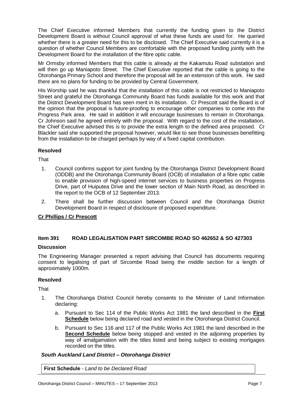The Chief Executive informed Members that currently the funding given to the District Development Board is without Council approval of what these funds are used for. He queried whether there is a greater need for this to be disclosed. The Chief Executive said currently it is a question of whether Council Members are comfortable with the proposed funding jointly with the Development Board for the installation of the fibre optic cable.

Mr Ormsby informed Members that this cable is already at the Kakamutu Road substation and will then go up Maniapoto Street. The Chief Executive reported that the cable is going to the Otorohanga Primary School and therefore the proposal will be an extension of this work. He said there are no plans for funding to be provided by Central Government.

His Worship said he was thankful that the installation of this cable is not restricted to Maniapoto Street and grateful the Otorohanga Community Board has funds available for this work and that the District Development Board has seen merit in its installation. Cr Prescott said the Board is of the opinion that the proposal is future-proofing to encourage other companies to come into the Progress Park area. He said in addition it will encourage businesses to remain in Otorohanga. Cr Johnson said he agreed entirely with the proposal. With regard to the cost of the installation, the Chief Executive advised this is to provide the extra length to the defined area proposed. Cr Blackler said she supported the proposal however, would like to see those businesses benefitting from the installation to be charged perhaps by way of a fixed capital contribution.

#### **Resolved**

That

- 1. Council confirms support for joint funding by the Otorohanga District Development Board (ODDB) and the Otorohanga Community Board (OCB) of installation of a fibre optic cable to enable provision of high-speed internet services to business properties on Progress Drive, part of Huiputea Drive and the lower section of Main North Road, as described in the report to the OCB of 12 September 2013.
- 2. There shall be further discussion between Council and the Otorohanga District Development Board in respect of disclosure of proposed expenditure.

#### **Cr Phillips / Cr Prescott**

#### **Item 391 ROAD LEGALISATION PART SIRCOMBE ROAD SO 462652 & SO 427303**

#### **Discussion**

The Engineering Manager presented a report advising that Council has documents requiring consent to legalising of part of Sircombe Road being the middle section for a length of approximately 1000m.

#### **Resolved**

**That** 

- 1. The Otorohanga District Council hereby consents to the Minister of Land Information declaring:
	- a. Pursuant to Sec 114 of the Public Works Act 1981 the land described in the **First Schedule** below being declared road and vested in the Otorohanga District Council.
	- b. Pursuant to Sec 116 and 117 of the Public Works Act 1981 the land described in the **Second Schedule** below being stopped and vested in the adjoining properties by way of amalgamation with the titles listed and being subject to existing mortgages recorded on the titles.

#### *South Auckland Land District – Otorohanga District*

**First Schedule** - *Land to be Declared Road*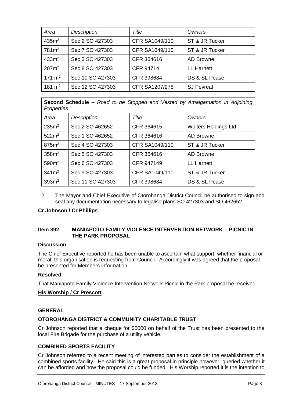| Area              | <b>Description</b> | Title                 | Owners            |
|-------------------|--------------------|-----------------------|-------------------|
| 435m <sup>2</sup> | Sec 2 SO 427303    | CFR SA1049/110        | ST & JR Tucker    |
| 781m <sup>2</sup> | Sec 7 SO 427303    | CFR SA1049/110        | ST & JR Tucker    |
| 433m <sup>2</sup> | Sec 3 SO 427303    | CFR 364616            | <b>AD Browne</b>  |
| $207m^2$          | Sec 8 SO 427303    | <b>CFR 94714</b>      | <b>LL Harnett</b> |
| 171 $m2$          | Sec 10 SO 427303   | CFR 398684            | DS & SL Pease     |
| 181 $m2$          | Sec 12 SO 427303   | <b>CFR SA1207/278</b> | <b>SJ Pevreal</b> |

**Second Schedule** – *Road to be Stopped and Vested by Amalgamation in Adjoining Properties*

| Area              | Description      | Title          | Owners                      |
|-------------------|------------------|----------------|-----------------------------|
| 235m <sup>2</sup> | Sec 2 SO 462652  | CFR 364615     | <b>Walters Holdings Ltd</b> |
| 522m <sup>2</sup> | Sec 1 SO 462652  | CFR 364616     | <b>AD Browne</b>            |
| 875m <sup>2</sup> | Sec 4 SO 427303  | CFR SA1049/110 | ST & JR Tucker              |
| 358m <sup>2</sup> | Sec 5 SO 427303  | CFR 364616     | AD Browne                   |
| 590 <sup>m²</sup> | Sec 6 SO 427303  | CFR 947149     | <b>LL Harnett</b>           |
| 341m <sup>2</sup> | Sec 9 SO 427303  | CFR SA1049/110 | ST & JR Tucker              |
| 393m <sup>2</sup> | Sec 11 SO 427303 | CFR 398684     | DS & SL Pease               |

2. The Mayor and Chief Executive of Otorohanga District Council be authorised to sign and seal any documentation necessary to legalise plans SO 427303 and SO 462652.

#### **Cr Johnson / Cr Phillips**

#### **Item 392 MANIAPOTO FAMILY VIOLENCE INTERVENTION NETWORK – PICNIC IN THE PARK PROPOSAL**

#### **Discussion**

The Chief Executive reported he has been unable to ascertain what support, whether financial or moral, this organisation is requesting from Council. Accordingly it was agreed that the proposal be presented for Members information.

#### **Resolved**

That Maniapoto Family Violence Intervention Network Picnic in the Park proposal be received.

#### **His Worship / Cr Prescott**

#### **GENERAL**

#### **OTOROHANGA DISTRICT & COMMUNITY CHARITABLE TRUST**

Cr Johnson reported that a cheque for \$5000 on behalf of the Trust has been presented to the local Fire Brigade for the purchase of a utility vehicle.

#### **COMBINED SPORTS FACILITY**

Cr Johnson referred to a recent meeting of interested parties to consider the establishment of a combined sports facility. He said this is a great proposal in principle however, queried whether it can be afforded and how the proposal could be funded. His Worship reported it is the intention to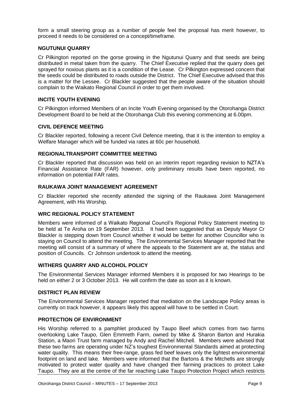form a small steering group as a number of people feel the proposal has merit however, to proceed it needs to be considered on a concept/timeframe.

#### **NGUTUNUI QUARRY**

Cr Pilkington reported on the gorse growing in the Ngutunui Quarry and that seeds are being distributed in metal taken from the quarry. The Chief Executive replied that the quarry does get sprayed for noxious plants as it is a condition of the Lease. Cr Pilkington expressed concern that the seeds could be distributed to roads outside the District. The Chief Executive advised that this is a matter for the Lessee. Cr Blackler suggested that the people aware of the situation should complain to the Waikato Regional Council in order to get them involved.

#### **INCITE YOUTH EVENING**

Cr Pilkington informed Members of an Incite Youth Evening organised by the Otorohanga District Development Board to be held at the Otorohanga Club this evening commencing at 6.00pm.

#### **CIVIL DEFENCE MEETING**

Cr Blackler reported, following a recent Civil Defence meeting, that it is the intention to employ a Welfare Manager which will be funded via rates at 60c per household.

#### **REGIONALTRANSPORT COMMITTEE MEETING**

Cr Blackler reported that discussion was held on an interim report regarding revision to NZTA's Financial Assistance Rate (FAR) however, only preliminary results have been reported, no information on potential FAR rates.

#### **RAUKAWA JOINT MANAGEMENT AGREEMENT**

Cr Blackler reported she recently attended the signing of the Raukawa Joint Management Agreement, with His Worship.

#### **WRC REGIONAL POLICY STATEMENT**

Members were informed of a Waikato Regional Council's Regional Policy Statement meeting to be held at Te Aroha on 19 September 2013. It had been suggested that as Deputy Mayor Cr Blackler is stepping down from Council whether it would be better for another Councillor who is staying on Council to attend the meeting. The Environmental Services Manager reported that the meeting will consist of a summary of where the appeals to the Statement are at, the status and position of Councils. Cr Johnson undertook to attend the meeting.

#### **WITHERS QUARRY AND ALCOHOL POLICY**

The Environmental Services Manager informed Members it is proposed for two Hearings to be held on either 2 or 3 October 2013. He will confirm the date as soon as it is known.

#### **DISTRICT PLAN REVIEW**

The Environmental Services Manager reported that mediation on the Landscape Policy areas is currently on track however, it appears likely this appeal will have to be settled in Court.

#### **PROTECTION OF ENVIRONMENT**

His Worship referred to a pamphlet produced by Taupo Beef which comes from two farms overlooking Lake Taupo, Glen Emmreth Farm, owned by Mike & Sharon Barton and Hurakia Station, a Maori Trust farm managed by Andy and Rachel Mitchell. Members were advised that these two farms are operating under NZ's toughest Environmental Standards aimed at protecting water quality. This means their free-range, grass fed beef leaves only the lightest environmental footprint on land and lake. Members were informed that the Bartons & the Mitchells are strongly motivated to protect water quality and have changed their farming practices to protect Lake Taupo. They are at the centre of the far reaching Lake Taupo Protection Project which restricts